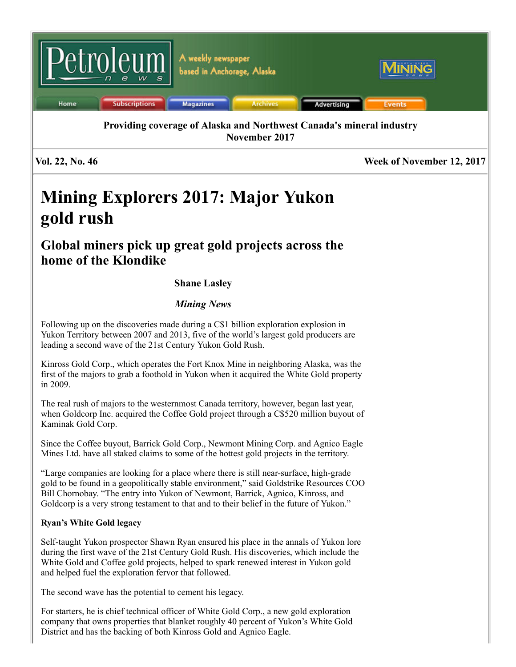

# Mining Explorers 2017: Major Yukon gold rush

# Global miners pick up great gold projects across the home of the Klondike

# Shane Lasley

# *Mining News*

Following up on the discoveries made during a C\$1 billion exploration explosion in Yukon Territory between 2007 and 2013, five of the world's largest gold producers are leading a second wave of the 21st Century Yukon Gold Rush.

Kinross Gold Corp., which operates the Fort Knox Mine in neighboring Alaska, was the first of the majors to grab a foothold in Yukon when it acquired the White Gold property in 2009.

The real rush of majors to the westernmost Canada territory, however, began last year, when Goldcorp Inc. acquired the Coffee Gold project through a C\$520 million buyout of Kaminak Gold Corp.

Since the Coffee buyout, Barrick Gold Corp., Newmont Mining Corp. and Agnico Eagle Mines Ltd. have all staked claims to some of the hottest gold projects in the territory.

"Large companies are looking for a place where there is still near-surface, high-grade gold to be found in a geopolitically stable environment," said Goldstrike Resources COO Bill Chornobay. "The entry into Yukon of Newmont, Barrick, Agnico, Kinross, and Goldcorp is a very strong testament to that and to their belief in the future of Yukon."

## Ryan's White Gold legacy

Self-taught Yukon prospector Shawn Ryan ensured his place in the annals of Yukon lore during the first wave of the 21st Century Gold Rush. His discoveries, which include the White Gold and Coffee gold projects, helped to spark renewed interest in Yukon gold and helped fuel the exploration fervor that followed.

The second wave has the potential to cement his legacy.

For starters, he is chief technical officer of White Gold Corp., a new gold exploration company that owns properties that blanket roughly 40 percent of Yukon's White Gold District and has the backing of both Kinross Gold and Agnico Eagle.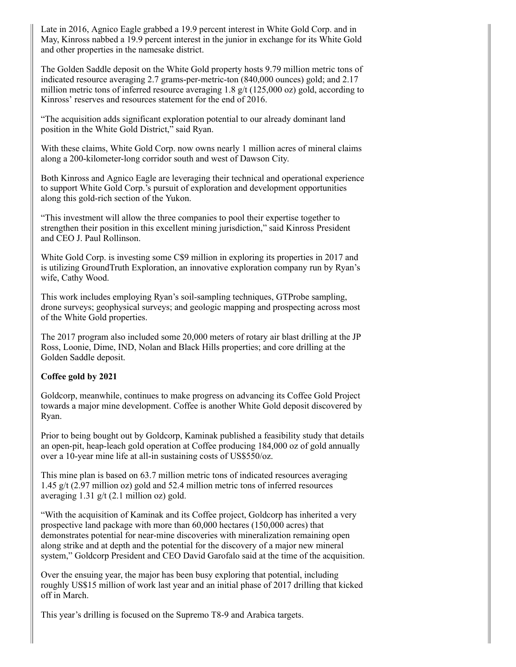Late in 2016, Agnico Eagle grabbed a 19.9 percent interest in White Gold Corp. and in May, Kinross nabbed a 19.9 percent interest in the junior in exchange for its White Gold and other properties in the namesake district.

The Golden Saddle deposit on the White Gold property hosts 9.79 million metric tons of indicated resource averaging 2.7 grams-per-metric-ton (840,000 ounces) gold; and 2.17 million metric tons of inferred resource averaging 1.8  $g/t$  (125,000 oz) gold, according to Kinross' reserves and resources statement for the end of 2016.

"The acquisition adds significant exploration potential to our already dominant land position in the White Gold District," said Ryan.

With these claims, White Gold Corp. now owns nearly 1 million acres of mineral claims along a 200-kilometer-long corridor south and west of Dawson City.

Both Kinross and Agnico Eagle are leveraging their technical and operational experience to support White Gold Corp.'s pursuit of exploration and development opportunities along this gold-rich section of the Yukon.

"This investment will allow the three companies to pool their expertise together to strengthen their position in this excellent mining jurisdiction," said Kinross President and CEO J. Paul Rollinson.

White Gold Corp. is investing some C\$9 million in exploring its properties in 2017 and is utilizing GroundTruth Exploration, an innovative exploration company run by Ryan's wife, Cathy Wood.

This work includes employing Ryan's soil-sampling techniques, GTProbe sampling, drone surveys; geophysical surveys; and geologic mapping and prospecting across most of the White Gold properties.

The 2017 program also included some 20,000 meters of rotary air blast drilling at the JP Ross, Loonie, Dime, IND, Nolan and Black Hills properties; and core drilling at the Golden Saddle deposit.

### Coffee gold by 2021

Goldcorp, meanwhile, continues to make progress on advancing its Coffee Gold Project towards a major mine development. Coffee is another White Gold deposit discovered by Ryan.

Prior to being bought out by Goldcorp, Kaminak published a feasibility study that details an open-pit, heap-leach gold operation at Coffee producing 184,000 oz of gold annually over a 10-year mine life at all-in sustaining costs of US\$550/oz.

This mine plan is based on 63.7 million metric tons of indicated resources averaging 1.45 g/t (2.97 million oz) gold and 52.4 million metric tons of inferred resources averaging 1.31 g/t (2.1 million oz) gold.

"With the acquisition of Kaminak and its Coffee project, Goldcorp has inherited a very prospective land package with more than 60,000 hectares (150,000 acres) that demonstrates potential for near-mine discoveries with mineralization remaining open along strike and at depth and the potential for the discovery of a major new mineral system," Goldcorp President and CEO David Garofalo said at the time of the acquisition.

Over the ensuing year, the major has been busy exploring that potential, including roughly US\$15 million of work last year and an initial phase of 2017 drilling that kicked off in March.

This year's drilling is focused on the Supremo T8-9 and Arabica targets.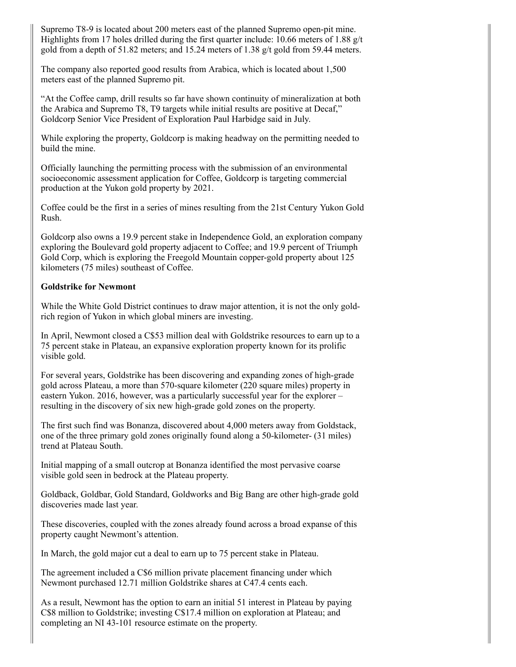Supremo T8-9 is located about 200 meters east of the planned Supremo open-pit mine. Highlights from 17 holes drilled during the first quarter include: 10.66 meters of 1.88  $g/t$ gold from a depth of  $51.82$  meters; and  $15.24$  meters of  $1.38$  g/t gold from  $59.44$  meters.

The company also reported good results from Arabica, which is located about 1,500 meters east of the planned Supremo pit.

"At the Coffee camp, drill results so far have shown continuity of mineralization at both the Arabica and Supremo T8, T9 targets while initial results are positive at Decaf," Goldcorp Senior Vice President of Exploration Paul Harbidge said in July.

While exploring the property, Goldcorp is making headway on the permitting needed to build the mine.

Officially launching the permitting process with the submission of an environmental socioeconomic assessment application for Coffee, Goldcorp is targeting commercial production at the Yukon gold property by 2021.

Coffee could be the first in a series of mines resulting from the 21st Century Yukon Gold Rush.

Goldcorp also owns a 19.9 percent stake in Independence Gold, an exploration company exploring the Boulevard gold property adjacent to Coffee; and 19.9 percent of Triumph Gold Corp, which is exploring the Freegold Mountain copper-gold property about 125 kilometers (75 miles) southeast of Coffee.

#### Goldstrike for Newmont

While the White Gold District continues to draw major attention, it is not the only goldrich region of Yukon in which global miners are investing.

In April, Newmont closed a C\$53 million deal with Goldstrike resources to earn up to a 75 percent stake in Plateau, an expansive exploration property known for its prolific visible gold.

For several years, Goldstrike has been discovering and expanding zones of high-grade gold across Plateau, a more than 570-square kilometer (220 square miles) property in eastern Yukon. 2016, however, was a particularly successful year for the explorer – resulting in the discovery of six new high-grade gold zones on the property.

The first such find was Bonanza, discovered about 4,000 meters away from Goldstack, one of the three primary gold zones originally found along a 50-kilometer- (31 miles) trend at Plateau South.

Initial mapping of a small outcrop at Bonanza identified the most pervasive coarse visible gold seen in bedrock at the Plateau property.

Goldback, Goldbar, Gold Standard, Goldworks and Big Bang are other high-grade gold discoveries made last year.

These discoveries, coupled with the zones already found across a broad expanse of this property caught Newmont's attention.

In March, the gold major cut a deal to earn up to 75 percent stake in Plateau.

The agreement included a C\$6 million private placement financing under which Newmont purchased 12.71 million Goldstrike shares at C47.4 cents each.

As a result, Newmont has the option to earn an initial 51 interest in Plateau by paying C\$8 million to Goldstrike; investing C\$17.4 million on exploration at Plateau; and completing an NI 43-101 resource estimate on the property.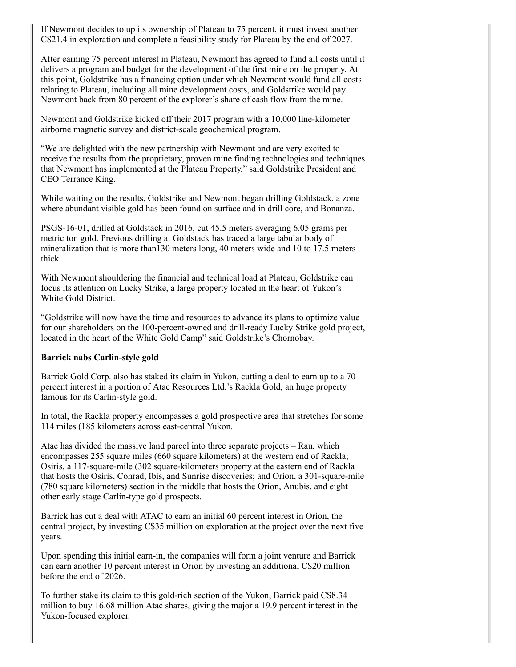If Newmont decides to up its ownership of Plateau to 75 percent, it must invest another C\$21.4 in exploration and complete a feasibility study for Plateau by the end of 2027.

After earning 75 percent interest in Plateau, Newmont has agreed to fund all costs until it delivers a program and budget for the development of the first mine on the property. At this point, Goldstrike has a financing option under which Newmont would fund all costs relating to Plateau, including all mine development costs, and Goldstrike would pay Newmont back from 80 percent of the explorer's share of cash flow from the mine.

Newmont and Goldstrike kicked off their 2017 program with a 10,000 line-kilometer airborne magnetic survey and district-scale geochemical program.

"We are delighted with the new partnership with Newmont and are very excited to receive the results from the proprietary, proven mine finding technologies and techniques that Newmont has implemented at the Plateau Property," said Goldstrike President and CEO Terrance King.

While waiting on the results, Goldstrike and Newmont began drilling Goldstack, a zone where abundant visible gold has been found on surface and in drill core, and Bonanza.

PSGS-16-01, drilled at Goldstack in 2016, cut 45.5 meters averaging 6.05 grams per metric ton gold. Previous drilling at Goldstack has traced a large tabular body of mineralization that is more than130 meters long, 40 meters wide and 10 to 17.5 meters thick.

With Newmont shouldering the financial and technical load at Plateau, Goldstrike can focus its attention on Lucky Strike, a large property located in the heart of Yukon's White Gold District.

"Goldstrike will now have the time and resources to advance its plans to optimize value for our shareholders on the 100-percent-owned and drill-ready Lucky Strike gold project, located in the heart of the White Gold Camp" said Goldstrike's Chornobay.

#### Barrick nabs Carlin-style gold

Barrick Gold Corp. also has staked its claim in Yukon, cutting a deal to earn up to a 70 percent interest in a portion of Atac Resources Ltd.'s Rackla Gold, an huge property famous for its Carlin-style gold.

In total, the Rackla property encompasses a gold prospective area that stretches for some 114 miles (185 kilometers across east-central Yukon.

Atac has divided the massive land parcel into three separate projects – Rau, which encompasses 255 square miles (660 square kilometers) at the western end of Rackla; Osiris, a 117-square-mile (302 square-kilometers property at the eastern end of Rackla that hosts the Osiris, Conrad, Ibis, and Sunrise discoveries; and Orion, a 301-square-mile (780 square kilometers) section in the middle that hosts the Orion, Anubis, and eight other early stage Carlin-type gold prospects.

Barrick has cut a deal with ATAC to earn an initial 60 percent interest in Orion, the central project, by investing C\$35 million on exploration at the project over the next five years.

Upon spending this initial earn-in, the companies will form a joint venture and Barrick can earn another 10 percent interest in Orion by investing an additional C\$20 million before the end of 2026.

To further stake its claim to this gold-rich section of the Yukon, Barrick paid C\$8.34 million to buy 16.68 million Atac shares, giving the major a 19.9 percent interest in the Yukon-focused explorer.